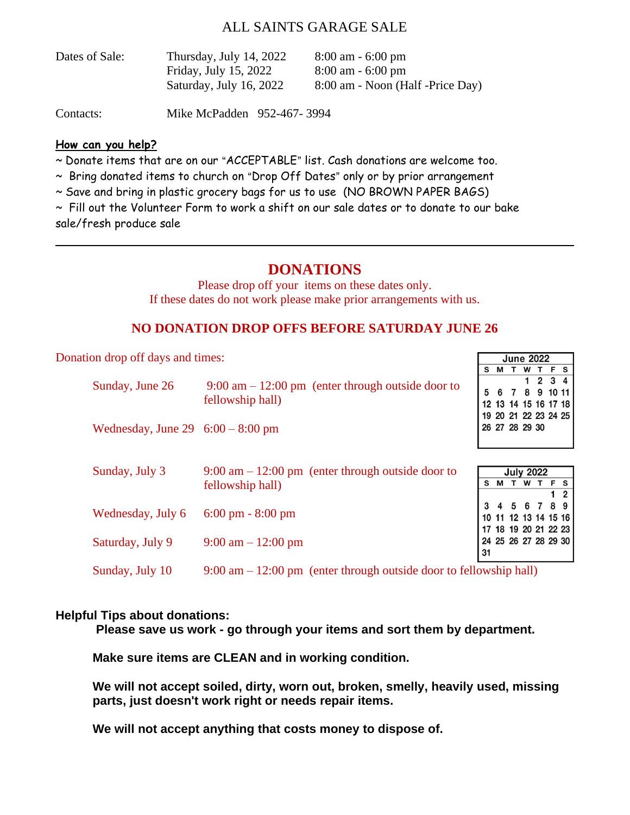### ALL SAINTS GARAGE SALE

| Thursday, July 14, 2022 | $8:00 \text{ am} - 6:00 \text{ pm}$ |
|-------------------------|-------------------------------------|
| Friday, July 15, 2022   | $8:00 \text{ am} - 6:00 \text{ pm}$ |
| Saturday, July 16, 2022 | 8:00 am - Noon (Half -Price Day)    |
|                         |                                     |

Contacts: Mike McPadden 952-467- 3994

#### **How can you help?**

~ Donate items that are on our "ACCEPTABLE" list. Cash donations are welcome too.

 $\sim$  Bring donated items to church on "Drop Off Dates" only or by prior arrangement

~ Save and bring in plastic grocery bags for us to use (NO BROWN PAPER BAGS)

~ Fill out the Volunteer Form to work a shift on our sale dates or to donate to our bake sale/fresh produce sale

## **DONATIONS**

Please drop off your items on these dates only. If these dates do not work please make prior arrangements with us.

#### **NO DONATION DROP OFFS BEFORE SATURDAY JUNE 26**

Donation drop off days and times:

| Sunday, June 26                                                                                         | $9:00 \text{ am} - 12:00 \text{ pm}$ (enter through outside door to<br>fellowship hall) |    | 5 6 7 8 9 10 11<br>12 13 14 15 16 17 18      |                  |  |  | 1234 |  |
|---------------------------------------------------------------------------------------------------------|-----------------------------------------------------------------------------------------|----|----------------------------------------------|------------------|--|--|------|--|
| Wednesday, June 29 $6:00 - 8:00$ pm                                                                     |                                                                                         |    | 19 20 21 22 23 24 25<br>26 27 28 29 30       |                  |  |  |      |  |
| Sunday, July 3                                                                                          | $9:00 \text{ am} - 12:00 \text{ pm}$ (enter through outside door to<br>fellowship hall) | S  | <b>MTWTFS</b>                                | <b>July 2022</b> |  |  |      |  |
| Wednesday, July 6                                                                                       | $6:00 \text{ pm} - 8:00 \text{ pm}$                                                     |    | 10 11 12 13 14 15 16                         | 4 5 6 7 8 9      |  |  |      |  |
| Saturday, July 9                                                                                        | $9:00 \text{ am} - 12:00 \text{ pm}$                                                    | 31 | 17 18 19 20 21 22 23<br>24 25 26 27 28 29 30 |                  |  |  |      |  |
| Sunday, July 10<br>$9:00 \text{ am} - 12:00 \text{ pm}$ (enter through outside door to fellowship hall) |                                                                                         |    |                                              |                  |  |  |      |  |

S M T W T F S

#### **Helpful Tips about donations:**

**Please save us work - go through your items and sort them by department.** 

**Make sure items are CLEAN and in working condition.** 

**We will not accept soiled, dirty, worn out, broken, smelly, heavily used, missing parts, just doesn't work right or needs repair items.** 

**We will not accept anything that costs money to dispose of.**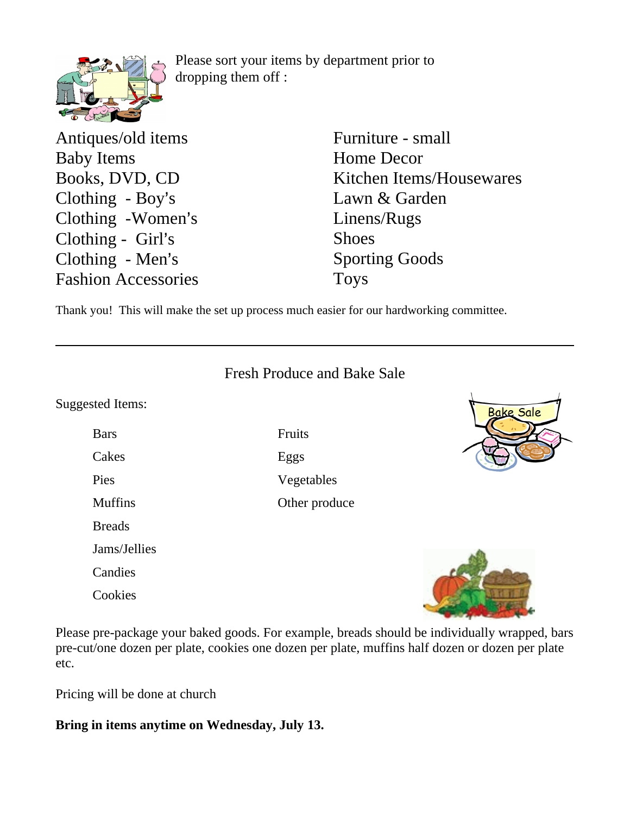Please sort your items by department prior to dropping them off :

Antiques/old items Baby Items Books, DVD, CD Clothing - Boy's Clothing -Women's Clothing -  $Girl's$ Clothing - Men's Fashion Accessories

Furniture - small Home Decor Kitchen Items/Housewares Lawn & Garden Linens/Rugs Shoes Sporting Goods Toys

Thank you! This will make the set up process much easier for our hardworking committee.

|                         | <b>Fresh Produce and Bake Sale</b> |                  |
|-------------------------|------------------------------------|------------------|
| <b>Suggested Items:</b> |                                    | <b>Bake Sale</b> |
| <b>Bars</b>             | Fruits                             |                  |
| Cakes                   | Eggs                               |                  |
| Pies                    | Vegetables                         |                  |
| <b>Muffins</b>          | Other produce                      |                  |
| <b>Breads</b>           |                                    |                  |
| Jams/Jellies            |                                    |                  |
| Candies                 |                                    |                  |
| Cookies                 |                                    |                  |

Please pre-package your baked goods. For example, breads should be individually wrapped, bars pre-cut/one dozen per plate, cookies one dozen per plate, muffins half dozen or dozen per plate etc.

Pricing will be done at church

**Bring in items anytime on Wednesday, July 13.**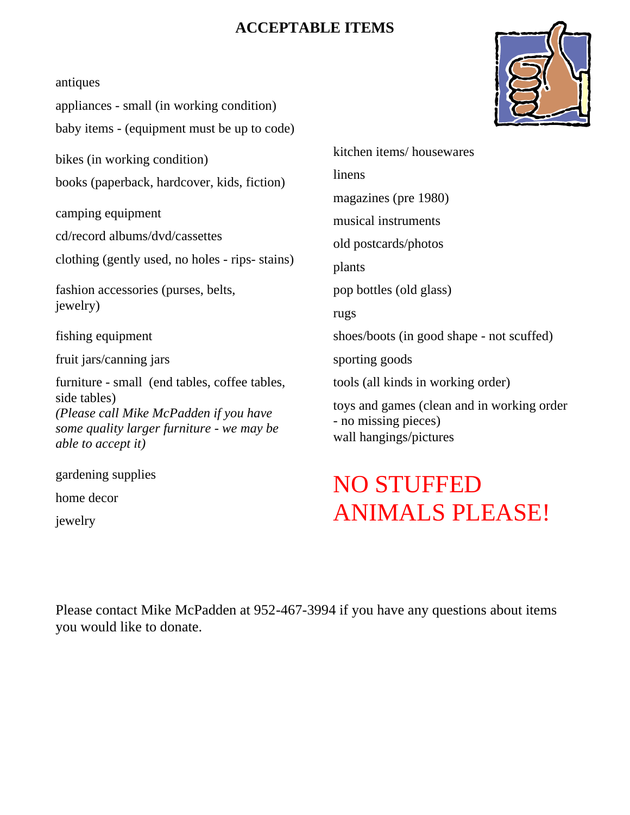## **ACCEPTABLE ITEMS**

antiques

appliances - small (in working condition) baby items - (equipment must be up to code)

bikes (in working condition) books (paperback, hardcover, kids, fiction)

camping equipment

cd/record albums/dvd/cassettes

clothing (gently used, no holes - rips- stains)

fashion accessories (purses, belts, jewelry)

fishing equipment

fruit jars/canning jars

furniture - small (end tables, coffee tables, side tables) *(Please call Mike McPadden if you have some quality larger furniture - we may be able to accept it)*

gardening supplies home decor jewelry

linens magazines (pre 1980) musical instruments old postcards/photos plants pop bottles (old glass) rugs shoes/boots (in good shape - not scuffed) sporting goods tools (all kinds in working order) toys and games (clean and in working order - no missing pieces) wall hangings/pictures

kitchen items/ housewares

# NO STUFFED ANIMALS PLEASE!

Please contact Mike McPadden at 952-467-3994 if you have any questions about items you would like to donate.

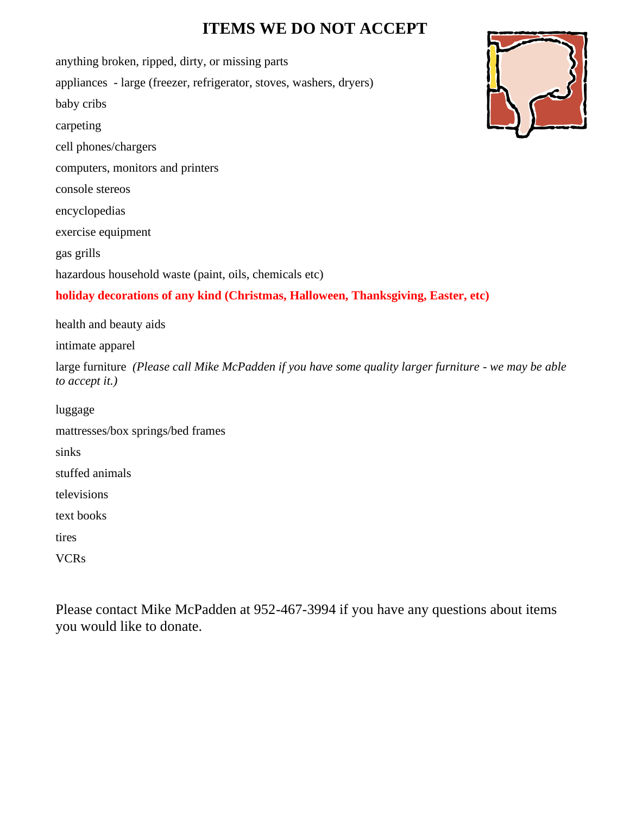# **ITEMS WE DO NOT ACCEPT**

anything broken, ripped, dirty, or missing parts appliances - large (freezer, refrigerator, stoves, washers, dryers) baby cribs carpeting cell phones/chargers computers, monitors and printers console stereos encyclopedias exercise equipment gas grills hazardous household waste (paint, oils, chemicals etc) **holiday decorations of any kind (Christmas, Halloween, Thanksgiving, Easter, etc)** health and beauty aids intimate apparel large furniture *(Please call Mike McPadden if you have some quality larger furniture - we may be able to accept it.)* luggage mattresses/box springs/bed frames sinks

stuffed animals

televisions

text books

tires

VCRs

Please contact Mike McPadden at 952-467-3994 if you have any questions about items you would like to donate.